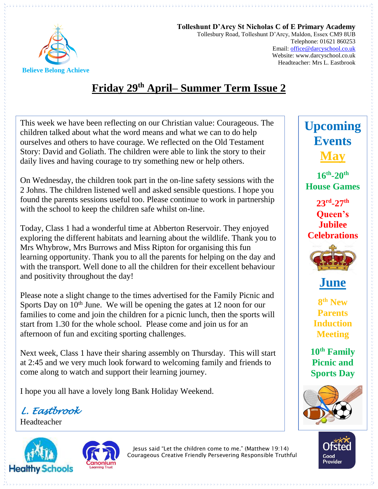

**Tolleshunt D'Arcy St Nicholas C of E Primary Academy** Tollesbury Road, Tolleshunt D'Arcy, Maldon, Essex CM9 8UB Telephone: 01621 860253 Email[: office@darcyschool.co.uk](mailto:office@darcyschool.co.uk) Website: www.darcyschool.co.uk Headteacher: Mrs L. Eastbrook

## **Friday 29 th April– Summer Term Issue 2**

This week we have been reflecting on our Christian value: Courageous. The children talked about what the word means and what we can to do help ourselves and others to have courage. We reflected on the Old Testament Story: David and Goliath. The children were able to link the story to their daily lives and having courage to try something new or help others.

On Wednesday, the children took part in the on-line safety sessions with the 2 Johns. The children listened well and asked sensible questions. I hope you found the parents sessions useful too. Please continue to work in partnership with the school to keep the children safe whilst on-line.

Today, Class 1 had a wonderful time at Abberton Reservoir. They enjoyed exploring the different habitats and learning about the wildlife. Thank you to Mrs Whybrow, Mrs Burrows and Miss Ripton for organising this fun learning opportunity. Thank you to all the parents for helping on the day and with the transport. Well done to all the children for their excellent behaviour and positivity throughout the day!

Please note a slight change to the times advertised for the Family Picnic and Sports Day on  $10<sup>th</sup>$  June. We will be opening the gates at 12 noon for our families to come and join the children for a picnic lunch, then the sports will start from 1.30 for the whole school. Please come and join us for an afternoon of fun and exciting sporting challenges.

Next week, Class 1 have their sharing assembly on Thursday. This will start at 2:45 and we very much look forward to welcoming family and friends to come along to watch and support their learning journey.

I hope you all have a lovely long Bank Holiday Weekend.

*L. Eastbrook* 

Headteacher





Jesus said "Let the children come to me." (Matthew 19:14) Courageous Creative Friendly Persevering Responsible Truthful

## **Upcoming Events May**

**16th -20th House Games**

**23rd -27th Queen's Jubilee Celebrations**





**8 th New Parents Induction Meeting**

**10th Family Picnic and Sports Day**